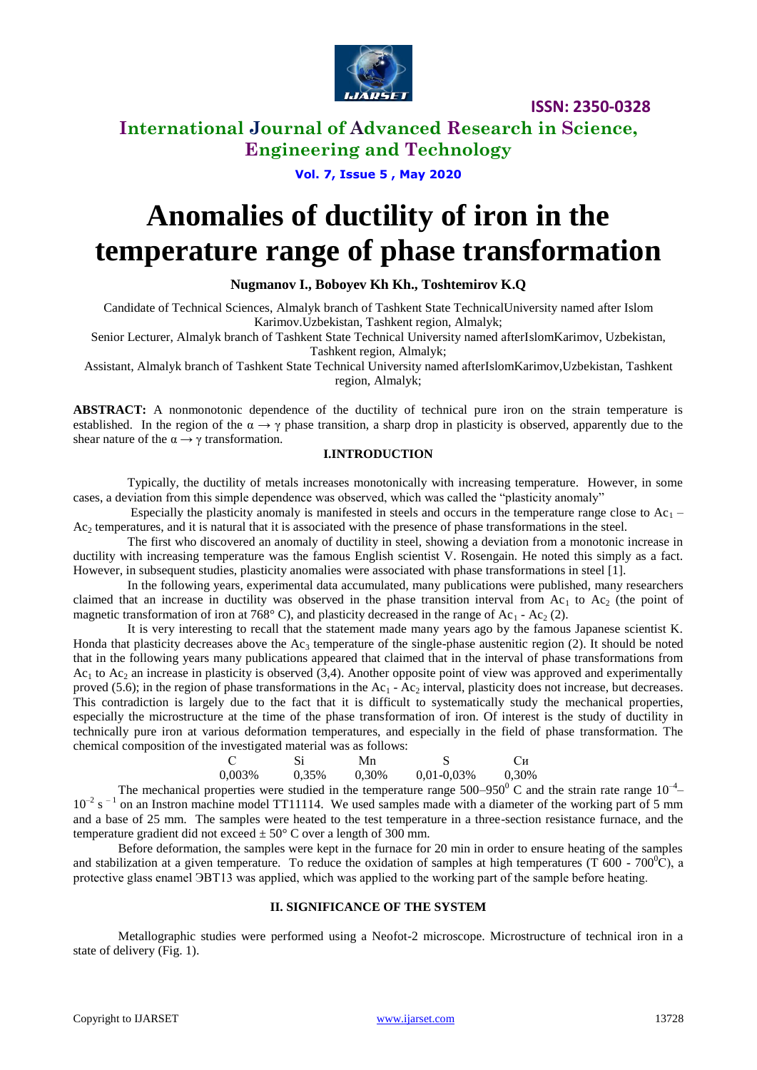

**ISSN: 2350-0328**

### **International Journal of Advanced Research in Science, Engineering and Technology**

**Vol. 7, Issue 5 , May 2020**

# **Anomalies of ductility of iron in the temperature range of phase transformation**

### **Nugmanov I., Boboyev Kh Kh., Toshtemirov K.Q**

Candidate of Technical Sciences, Almalyk branch of Tashkent State TechnicalUniversity named after Islom Karimov.Uzbekistan, Tashkent region, Almalyk;

Senior Lecturer, Almalyk branch of Tashkent State Technical University named afterIslomKarimov, Uzbekistan, Tashkent region, Almalyk;

Assistant, Almalyk branch of Tashkent State Technical University named afterIslomKarimov,Uzbekistan, Tashkent region, Almalyk;

ABSTRACT: A nonmonotonic dependence of the ductility of technical pure iron on the strain temperature is established. In the region of the  $\alpha \rightarrow \gamma$  phase transition, a sharp drop in plasticity is observed, apparently due to the shear nature of the  $\alpha \rightarrow \gamma$  transformation.

### **I.INTRODUCTION**

Typically, the ductility of metals increases monotonically with increasing temperature. However, in some cases, a deviation from this simple dependence was observed, which was called the "plasticity anomaly"

Especially the plasticity anomaly is manifested in steels and occurs in the temperature range close to Ac<sub>1</sub> –  $Ac<sub>2</sub>$  temperatures, and it is natural that it is associated with the presence of phase transformations in the steel.

The first who discovered an anomaly of ductility in steel, showing a deviation from a monotonic increase in ductility with increasing temperature was the famous English scientist V. Rosengain. He noted this simply as a fact. However, in subsequent studies, plasticity anomalies were associated with phase transformations in steel [1].

In the following years, experimental data accumulated, many publications were published, many researchers claimed that an increase in ductility was observed in the phase transition interval from  $Ac<sub>1</sub>$  to  $Ac<sub>2</sub>$  (the point of magnetic transformation of iron at 768°C), and plasticity decreased in the range of Ac<sub>1</sub> - Ac<sub>2</sub> (2).

It is very interesting to recall that the statement made many years ago by the famous Japanese scientist K. Honda that plasticity decreases above the  $Ac_3$  temperature of the single-phase austenitic region (2). It should be noted that in the following years many publications appeared that claimed that in the interval of phase transformations from  $Ac<sub>1</sub>$  to  $Ac<sub>2</sub>$  an increase in plasticity is observed (3,4). Another opposite point of view was approved and experimentally proved (5.6); in the region of phase transformations in the Ac<sub>1</sub> - Ac<sub>2</sub> interval, plasticity does not increase, but decreases. This contradiction is largely due to the fact that it is difficult to systematically study the mechanical properties, especially the microstructure at the time of the phase transformation of iron. Of interest is the study of ductility in technically pure iron at various deformation temperatures, and especially in the field of phase transformation. The chemical composition of the investigated material was as follows:

| - C    | Si    | Mn    |                 | Си    |
|--------|-------|-------|-----------------|-------|
| 0,003% | 0.35% | 0,30% | $0.01 - 0.03\%$ | 0,30% |

The mechanical properties were studied in the temperature range  $500-950^{\circ}$  C and the strain rate range  $10^{-4}$  $10^{-2}$  s<sup>-1</sup> on an Instron machine model TT11114. We used samples made with a diameter of the working part of 5 mm and a base of 25 mm. The samples were heated to the test temperature in a three-section resistance furnace, and the temperature gradient did not exceed  $\pm 50^{\circ}$  C over a length of 300 mm.

Before deformation, the samples were kept in the furnace for 20 min in order to ensure heating of the samples and stabilization at a given temperature. To reduce the oxidation of samples at high temperatures (T 600 - 700<sup>0</sup>C), a protective glass enamel ЭВТ13 was applied, which was applied to the working part of the sample before heating.

### **II. SIGNIFICANCE OF THE SYSTEM**

Metallographic studies were performed using a Neofot-2 microscope. Microstructure of technical iron in a state of delivery (Fig. 1).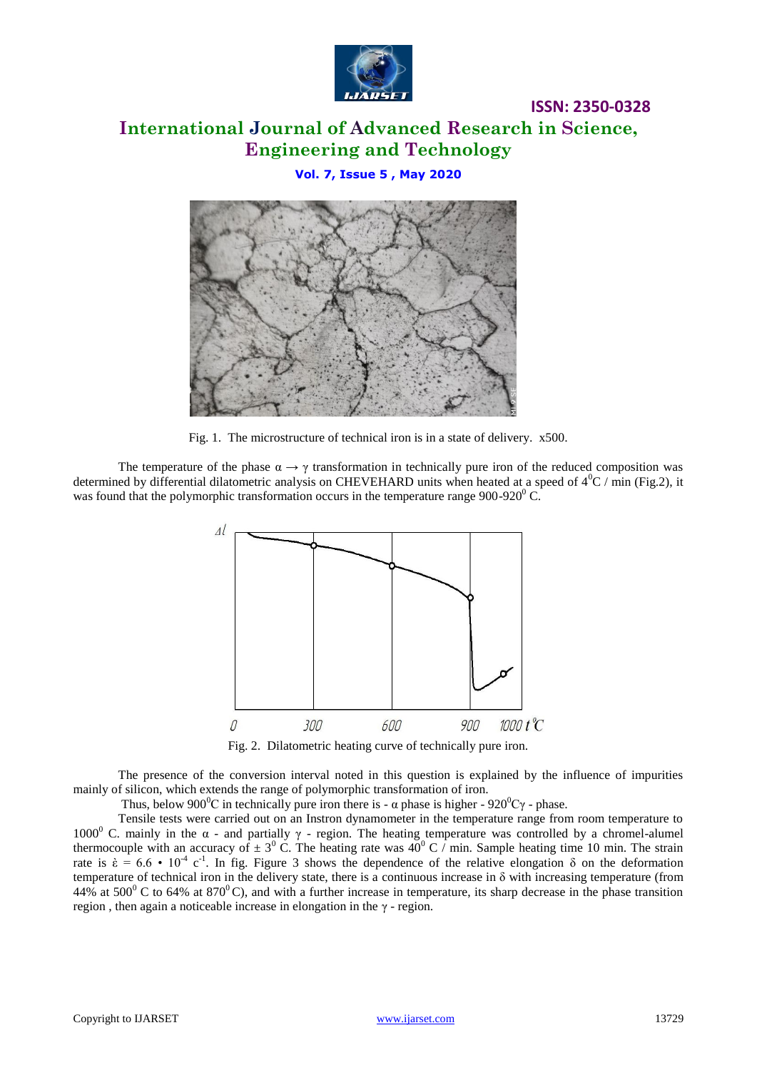

# **International Journal of Advanced Research in Science, Engineering and Technology**

**ISSN: 2350-0328**

### **Vol. 7, Issue 5 , May 2020**



Fig. 1. The microstructure of technical iron is in a state of delivery. x500.

The temperature of the phase  $\alpha \rightarrow \gamma$  transformation in technically pure iron of the reduced composition was determined by differential dilatometric analysis on CHEVEHARD units when heated at a speed of  $4^{0}C / min$  (Fig.2), it was found that the polymorphic transformation occurs in the temperature range  $900-920^{\circ}$ C.



Fig. 2. Dilatometric heating curve of technically pure iron.

The presence of the conversion interval noted in this question is explained by the influence of impurities mainly of silicon, which extends the range of polymorphic transformation of iron.

Thus, below 900<sup>°</sup>C in technically pure iron there is -  $\alpha$  phase is higher - 920<sup>°</sup>C $\gamma$  - phase.

Tensile tests were carried out on an Instron dynamometer in the temperature range from room temperature to 1000<sup>0</sup> C. mainly in the α - and partially  $\gamma$  - region. The heating temperature was controlled by a chromel-alumel thermocouple with an accuracy of  $\pm 3^0$  C. The heating rate was  $40^0$  C  $/$  min. Sample heating time 10 min. The strain rate is  $\dot{\epsilon} = 6.6 \cdot 10^{-4} \text{ c}^{-1}$ . In fig. Figure 3 shows the dependence of the relative elongation  $\delta$  on the deformation temperature of technical iron in the delivery state, there is a continuous increase in  $\delta$  with increasing temperature (from 44% at 500 $^{\circ}$  C to 64% at 870 $^{\circ}$ C), and with a further increase in temperature, its sharp decrease in the phase transition region , then again a noticeable increase in elongation in the γ - region.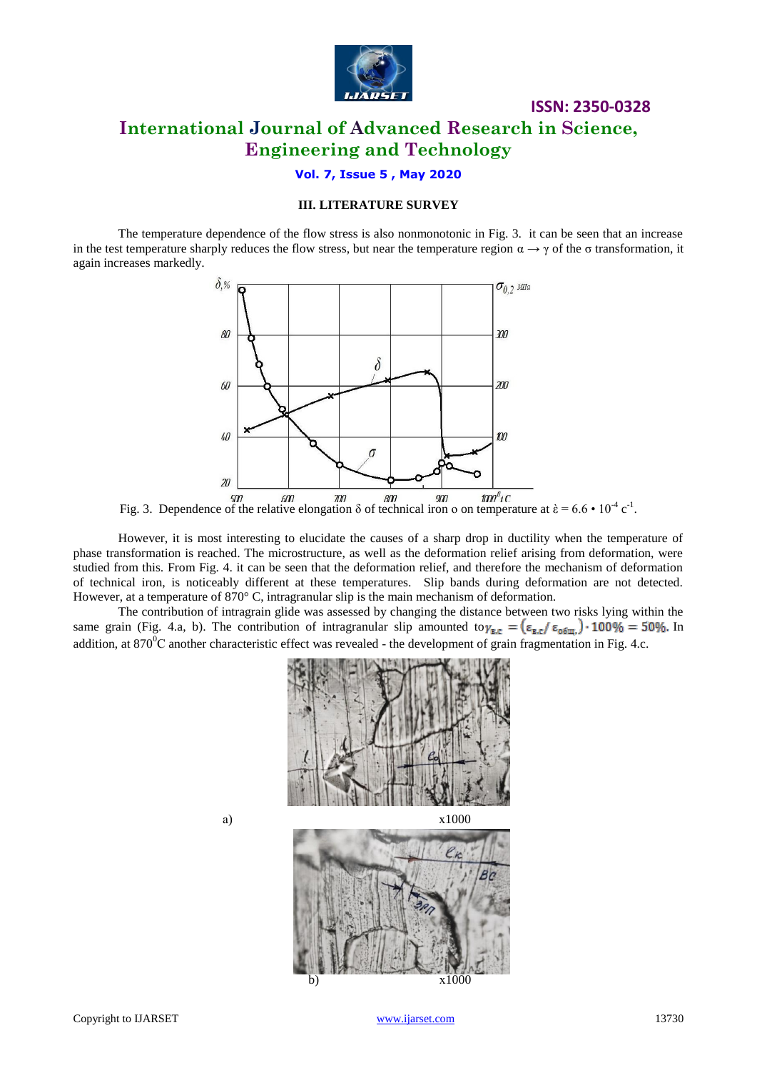

## **International Journal of Advanced Research in Science, Engineering and Technology**

**ISSN: 2350-0328**

### **Vol. 7, Issue 5 , May 2020**

### **III. LITERATURE SURVEY**

The temperature dependence of the flow stress is also nonmonotonic in Fig. 3. it can be seen that an increase in the test temperature sharply reduces the flow stress, but near the temperature region  $\alpha \rightarrow \gamma$  of the  $\sigma$  transformation, it again increases markedly.



Fig. 3. Dependence of the relative elongation  $\delta$  of technical iron o on temperature at  $\dot{\epsilon} = 6.6 \cdot 10^{-4} \text{ c}^{-1}$ .

However, it is most interesting to elucidate the causes of a sharp drop in ductility when the temperature of phase transformation is reached. The microstructure, as well as the deformation relief arising from deformation, were studied from this. From Fig. 4. it can be seen that the deformation relief, and therefore the mechanism of deformation of technical iron, is noticeably different at these temperatures. Slip bands during deformation are not detected. However, at a temperature of 870° C, intragranular slip is the main mechanism of deformation.

The contribution of intragrain glide was assessed by changing the distance between two risks lying within the same grain (Fig. 4.a, b). The contribution of intragranular slip amounted to  $\gamma_{B,C} = (\epsilon_{B,C}/\epsilon_{0.6m}) \cdot 100\% = 50\%$ . In addition, at  $870^0C$  another characteristic effect was revealed - the development of grain fragmentation in Fig. 4.c.



b) х1000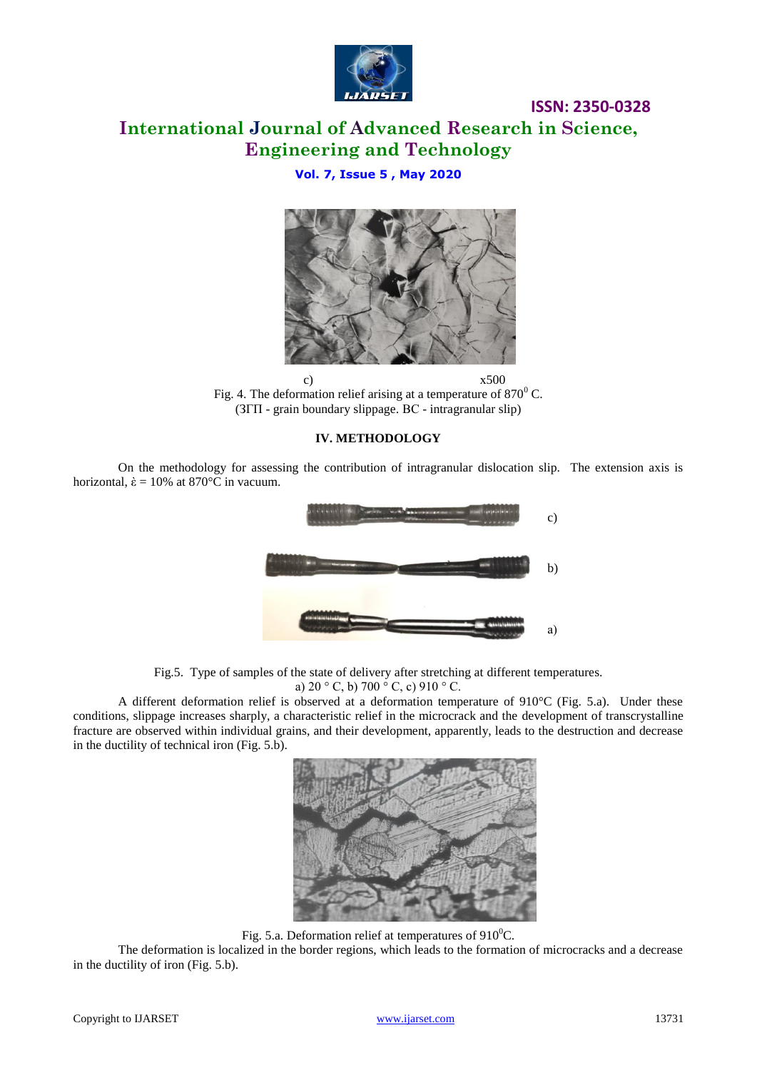

**ISSN: 2350-0328**

### **International Journal of Advanced Research in Science, Engineering and Technology**

### **Vol. 7, Issue 5 , May 2020**



c)  $x500$ Fig. 4. The deformation relief arising at a temperature of  $870^{\circ}$  C. (ЗГП - grain boundary slippage. ВС - intragranular slip)

#### **IV. METHODOLOGY**



On the methodology for assessing the contribution of intragranular dislocation slip. The extension axis is horizontal,  $\dot{\epsilon} = 10\%$  at 870°C in vacuum.

Fig.5. Type of samples of the state of delivery after stretching at different temperatures.

a) 
$$
20 \degree C
$$
, b)  $700 \degree C$ , c)  $910 \degree C$ .

A different deformation relief is observed at a deformation temperature of 910°C (Fig. 5.a). Under these conditions, slippage increases sharply, a characteristic relief in the microcrack and the development of transcrystalline fracture are observed within individual grains, and their development, apparently, leads to the destruction and decrease in the ductility of technical iron (Fig. 5.b).



Fig. 5.a. Deformation relief at temperatures of  $910^0C$ .

The deformation is localized in the border regions, which leads to the formation of microcracks and a decrease in the ductility of iron (Fig. 5.b).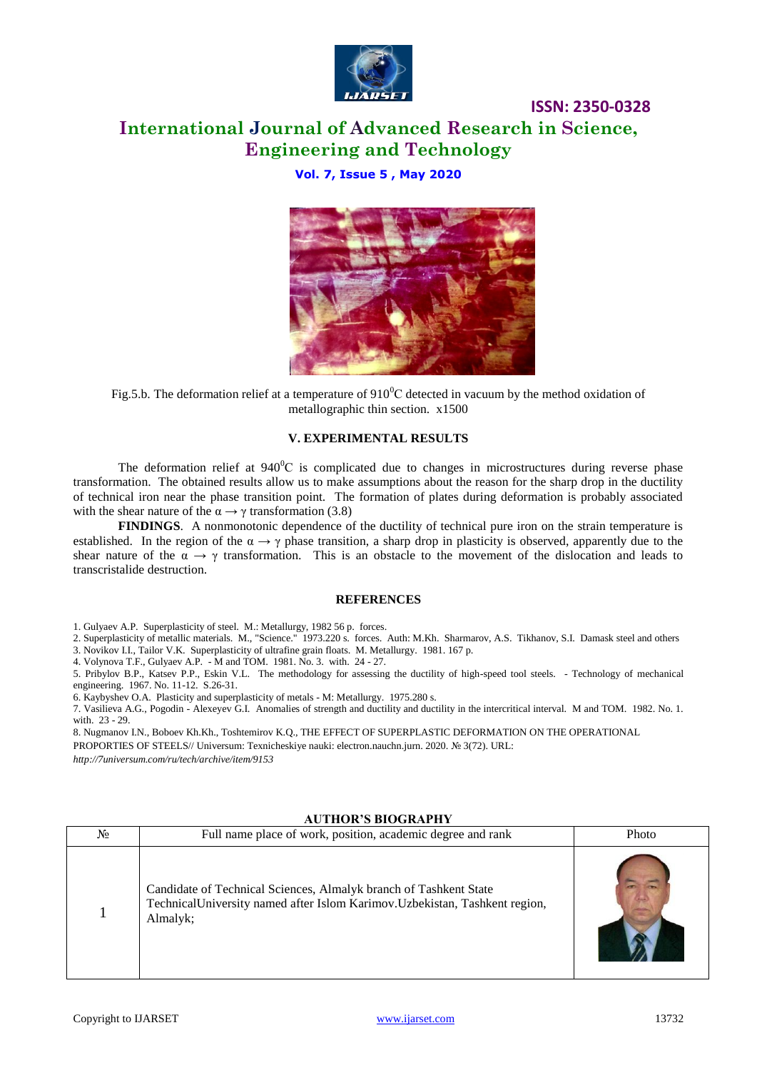

### **ISSN: 2350-0328 International Journal of Advanced Research in Science, Engineering and Technology**

### **Vol. 7, Issue 5 , May 2020**



Fig.5.b. The deformation relief at a temperature of  $910^{\circ}$ C detected in vacuum by the method oxidation of metallographic thin section. x1500

#### **V. EXPERIMENTAL RESULTS**

The deformation relief at  $940^{\circ}$ C is complicated due to changes in microstructures during reverse phase transformation. The obtained results allow us to make assumptions about the reason for the sharp drop in the ductility of technical iron near the phase transition point. The formation of plates during deformation is probably associated with the shear nature of the  $\alpha \rightarrow \gamma$  transformation (3.8)

**FINDINGS**. A nonmonotonic dependence of the ductility of technical pure iron on the strain temperature is established. In the region of the  $\alpha \rightarrow \gamma$  phase transition, a sharp drop in plasticity is observed, apparently due to the shear nature of the  $\alpha \to \gamma$  transformation. This is an obstacle to the movement of the dislocation and leads to transcristalide destruction.

#### **REFERENCES**

1. Gulyaev A.P. Superplasticity of steel. M.: Metallurgy, 1982 56 p. forces.

2. Superplasticity of metallic materials. M., "Science." 1973.220 s. forces. Auth: M.Kh. Sharmarov, A.S. Tikhanov, S.I. Damask steel and others 3. Novikov I.I., Tailor V.K. Superplasticity of ultrafine grain floats. M. Metallurgy. 1981. 167 p.

4. Volynova T.F., Gulyaev A.P. - M and TOM. 1981. No. 3. with. 24 - 27.

5. Pribylov B.P., Katsev P.P., Eskin V.L. The methodology for assessing the ductility of high-speed tool steels. - Technology of mechanical engineering. 1967. No. 11-12. S.26-31.

6. Kaybyshev O.A. Plasticity and superplasticity of metals - M: Metallurgy. 1975.280 s.

7. Vasilieva A.G., Pogodin - Alexeyev G.I. Anomalies of strength and ductility and ductility in the intercritical interval. M and TOM. 1982. No. 1. with. 23 - 29.

8. Nugmanov I.N., Boboev Kh.Kh., Toshtemirov K.Q., THE EFFECT OF SUPERPLASTIC DEFORMATION ON THE OPERATIONAL PROPORTIES OF STEELS// Universum: Texnicheskiye nauki: electron.nauchn.jurn. 2020. № 3(72). URL:

*http://7universum.com/ru/tech/archive/item/9153*

#### **AUTHOR'S BIOGRAPHY**

| No | Full name place of work, position, academic degree and rank                                                                                                  | Photo |
|----|--------------------------------------------------------------------------------------------------------------------------------------------------------------|-------|
|    | Candidate of Technical Sciences, Almalyk branch of Tashkent State<br>TechnicalUniversity named after Islom Karimov. Uzbekistan, Tashkent region,<br>Almalyk; |       |